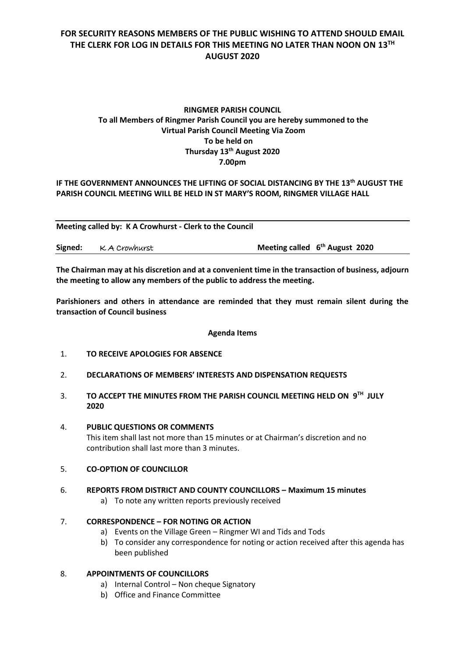# **FOR SECURITY REASONS MEMBERS OF THE PUBLIC WISHING TO ATTEND SHOULD EMAIL THE CLERK FOR LOG IN DETAILS FOR THIS MEETING NO LATER THAN NOON ON 13TH AUGUST 2020**

# **RINGMER PARISH COUNCIL To all Members of Ringmer Parish Council you are hereby summoned to the Virtual Parish Council Meeting Via Zoom To be held on Thursday 13th August 2020 7.00pm**

# **IF THE GOVERNMENT ANNOUNCES THE LIFTING OF SOCIAL DISTANCING BY THE 13th AUGUST THE PARISH COUNCIL MEETING WILL BE HELD IN ST MARY'S ROOM, RINGMER VILLAGE HALL**

**Meeting called by: K A Crowhurst - Clerk to the Council** 

|  | Signed: KA Crowhurst | Meeting called $6th$ August 2020 |
|--|----------------------|----------------------------------|
|--|----------------------|----------------------------------|

**The Chairman may at his discretion and at a convenient time in the transaction of business, adjourn the meeting to allow any members of the public to address the meeting.**

**Parishioners and others in attendance are reminded that they must remain silent during the transaction of Council business**

#### **Agenda Items**

- 1. **TO RECEIVE APOLOGIES FOR ABSENCE**
- 2. **DECLARATIONS OF MEMBERS' INTERESTS AND DISPENSATION REQUESTS**
- 3. **TO ACCEPT THE MINUTES FROM THE PARISH COUNCIL MEETING HELD ON 9 TH JULY 2020**
- 4. **PUBLIC QUESTIONS OR COMMENTS**  This item shall last not more than 15 minutes or at Chairman's discretion and no contribution shall last more than 3 minutes.
- 5. **CO-OPTION OF COUNCILLOR**
- 6. **REPORTS FROM DISTRICT AND COUNTY COUNCILLORS – Maximum 15 minutes**
	- a) To note any written reports previously received

## 7. **CORRESPONDENCE – FOR NOTING OR ACTION**

- a) Events on the Village Green Ringmer WI and Tids and Tods
- b) To consider any correspondence for noting or action received after this agenda has been published

## 8. **APPOINTMENTS OF COUNCILLORS**

- a) Internal Control Non cheque Signatory
- b) Office and Finance Committee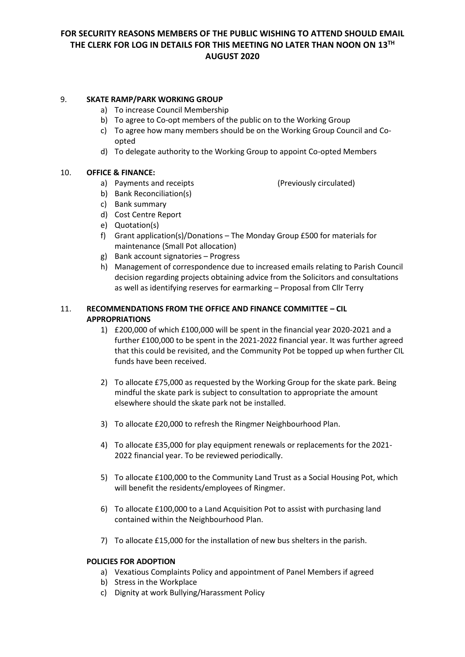# **FOR SECURITY REASONS MEMBERS OF THE PUBLIC WISHING TO ATTEND SHOULD EMAIL THE CLERK FOR LOG IN DETAILS FOR THIS MEETING NO LATER THAN NOON ON 13TH AUGUST 2020**

## 9. **SKATE RAMP/PARK WORKING GROUP**

- a) To increase Council Membership
- b) To agree to Co-opt members of the public on to the Working Group
- c) To agree how many members should be on the Working Group Council and Coopted
- d) To delegate authority to the Working Group to appoint Co-opted Members

#### 10. **OFFICE & FINANCE:**

a) Payments and receipts (Previously circulated)

- b) Bank Reconciliation(s)
- c) Bank summary
- d) Cost Centre Report
- e) Quotation(s)
- f) Grant application(s)/Donations The Monday Group £500 for materials for maintenance (Small Pot allocation)
- g) Bank account signatories Progress
- h) Management of correspondence due to increased emails relating to Parish Council decision regarding projects obtaining advice from the Solicitors and consultations as well as identifying reserves for earmarking – Proposal from Cllr Terry

## 11. **RECOMMENDATIONS FROM THE OFFICE AND FINANCE COMMITTEE – CIL APPROPRIATIONS**

- 1) £200,000 of which £100,000 will be spent in the financial year 2020-2021 and a further £100,000 to be spent in the 2021-2022 financial year. It was further agreed that this could be revisited, and the Community Pot be topped up when further CIL funds have been received.
- 2) To allocate £75,000 as requested by the Working Group for the skate park. Being mindful the skate park is subject to consultation to appropriate the amount elsewhere should the skate park not be installed.
- 3) To allocate £20,000 to refresh the Ringmer Neighbourhood Plan.
- 4) To allocate £35,000 for play equipment renewals or replacements for the 2021- 2022 financial year. To be reviewed periodically.
- 5) To allocate £100,000 to the Community Land Trust as a Social Housing Pot, which will benefit the residents/employees of Ringmer.
- 6) To allocate £100,000 to a Land Acquisition Pot to assist with purchasing land contained within the Neighbourhood Plan.
- 7) To allocate £15,000 for the installation of new bus shelters in the parish.

#### **POLICIES FOR ADOPTION**

- a) Vexatious Complaints Policy and appointment of Panel Members if agreed
- b) Stress in the Workplace
- c) Dignity at work Bullying/Harassment Policy